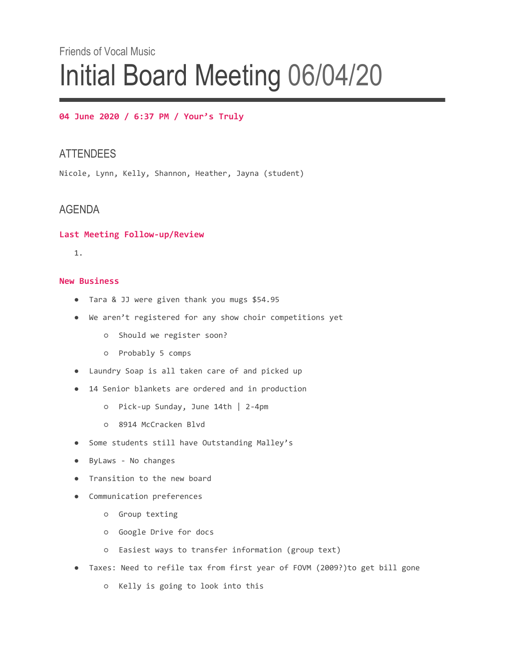# Friends of Vocal Music Initial Board Meeting 06/04/20

#### **04 June 2020 / 6:37 PM / Your's Truly**

## **ATTENDEES**

Nicole, Lynn, Kelly, Shannon, Heather, Jayna (student)

## AGENDA

#### **Last Meeting Follow-up/Review**

1.

#### **New Business**

- Tara & JJ were given thank you mugs \$54.95
- We aren't registered for any show choir competitions yet
	- Should we register soon?
	- Probably 5 comps
- Laundry Soap is all taken care of and picked up
- 14 Senior blankets are ordered and in production
	- Pick-up Sunday, June 14th | 2-4pm
	- 8914 McCracken Blvd
- Some students still have Outstanding Malley's
- ByLaws No changes
- Transition to the new board
- Communication preferences
	- Group texting
	- Google Drive for docs
	- Easiest ways to transfer information (group text)
- Taxes: Need to refile tax from first year of FOVM (2009?)to get bill gone
	- Kelly is going to look into this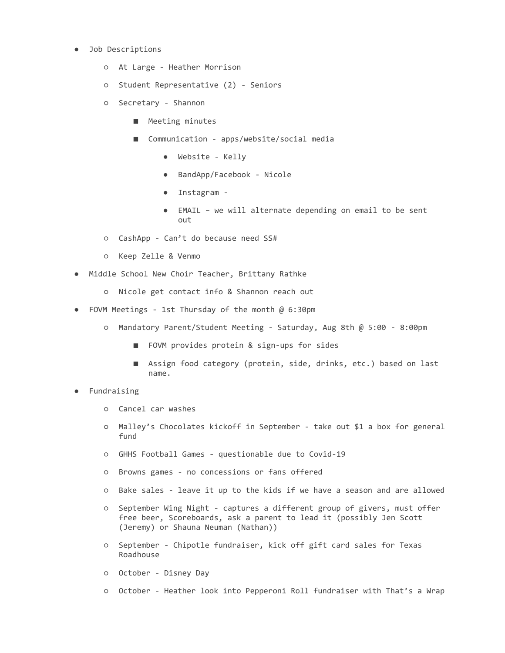- Job Descriptions
	- At Large Heather Morrison
	- Student Representative (2) Seniors
	- Secretary Shannon
		- Meeting minutes
		- Communication apps/website/social media
			- Website Kelly
			- BandApp/Facebook Nicole
			- Instagram -
			- EMAIL we will alternate depending on email to be sent out
	- CashApp Can't do because need SS#
	- Keep Zelle & Venmo
- Middle School New Choir Teacher, Brittany Rathke
	- Nicole get contact info & Shannon reach out
- FOVM Meetings 1st Thursday of the month @ 6:30pm
	- Mandatory Parent/Student Meeting Saturday, Aug 8th @ 5:00 8:00pm
		- FOVM provides protein & sign-ups for sides
		- Assign food category (protein, side, drinks, etc.) based on last name.
- Fundraising
	- Cancel car washes
	- Malley's Chocolates kickoff in September take out \$1 a box for general fund
	- GHHS Football Games questionable due to Covid-19
	- Browns games no concessions or fans offered
	- Bake sales leave it up to the kids if we have a season and are allowed
	- September Wing Night captures a different group of givers, must offer free beer, Scoreboards, ask a parent to lead it (possibly Jen Scott (Jeremy) or Shauna Neuman (Nathan))
	- September Chipotle fundraiser, kick off gift card sales for Texas Roadhouse
	- October Disney Day
	- October Heather look into Pepperoni Roll fundraiser with That's a Wrap